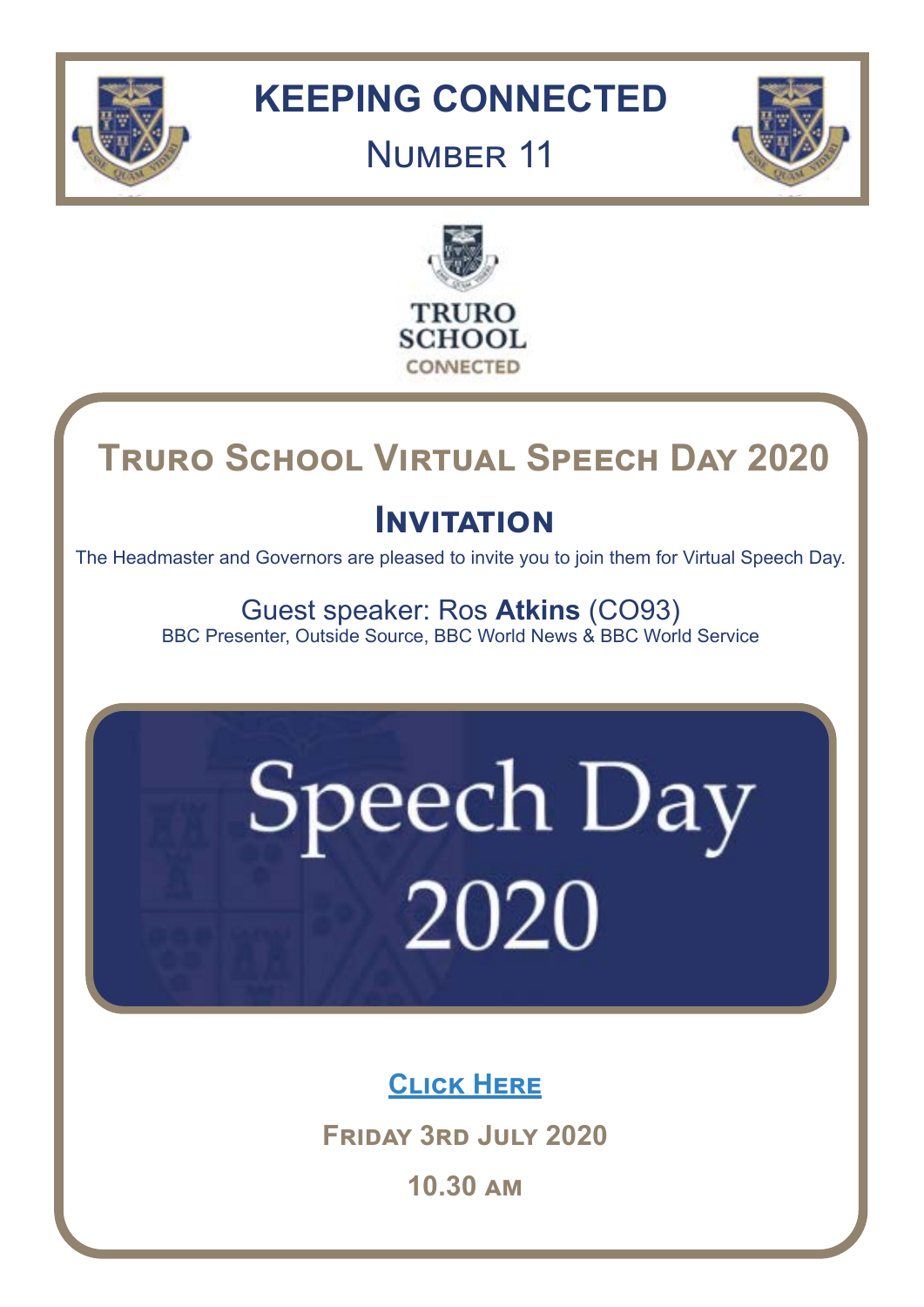

# **KEEPING CONNECTED**

# **NUMBER 11**





# **Truro School Virtual Speech Day 2020**

# **Invitation**

The Headmaster and Governors are pleased to invite you to join them for Virtual Speech Day.

Guest speaker: Ros **Atkins** (CO93) BBC Presenter, Outside Source, BBC World News & BBC World Service

# Speech Day 2020

**[Click Here](https://www.truroschool.com/parents/speech-day/speech-day-2020/)**

**Friday 3rd July 2020**

**10.30 am**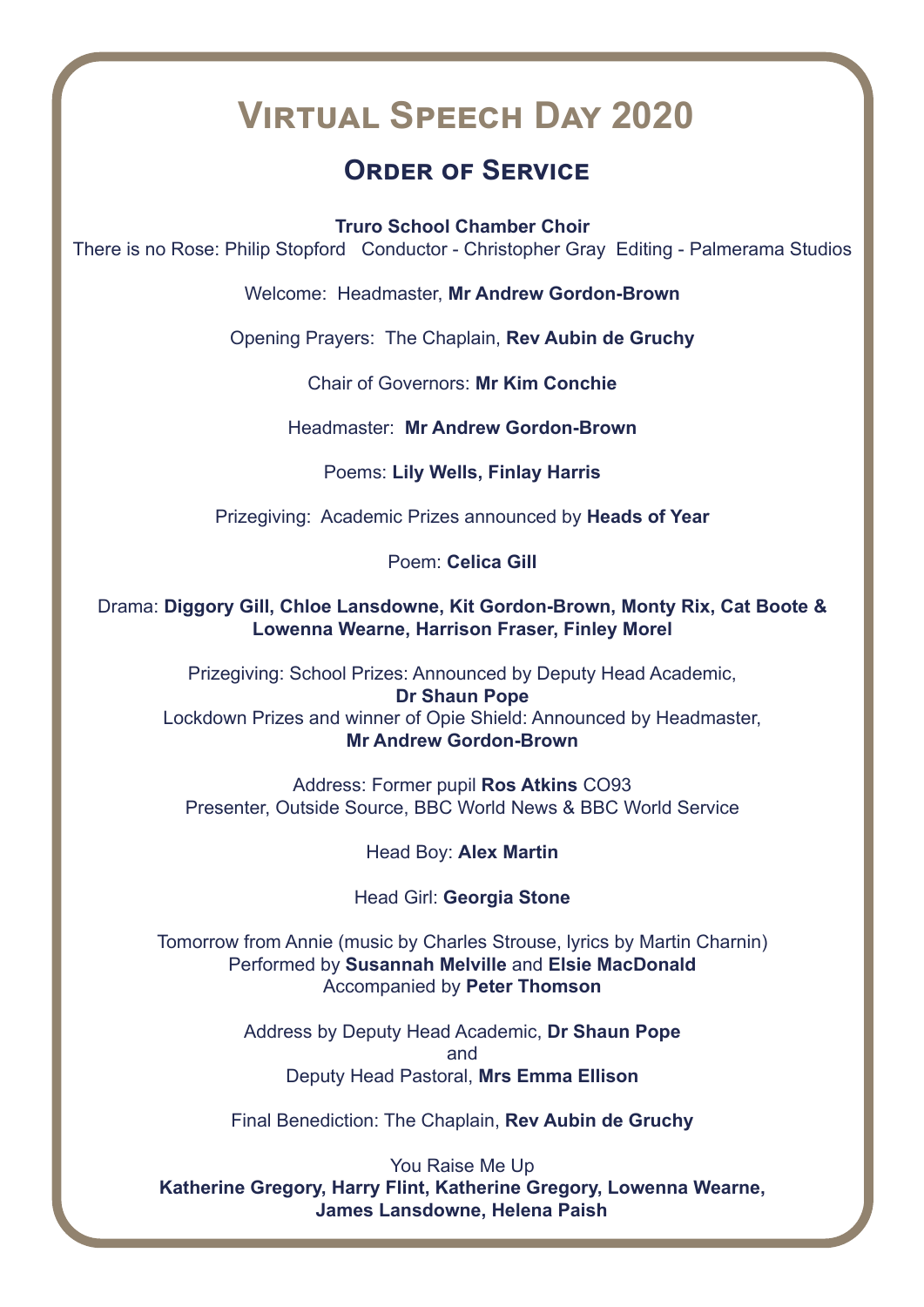# **Virtual Speech Day 2020**

# **Order of Service**

**Truro School Chamber Choir** 

There is no Rose: Philip Stopford Conductor - Christopher Gray Editing - Palmerama Studios

Welcome: Headmaster, **Mr Andrew Gordon-Brown**

Opening Prayers: The Chaplain, **Rev Aubin de Gruchy**

Chair of Governors: **Mr Kim Conchie**

Headmaster: **Mr Andrew Gordon-Brown** 

Poems: **Lily Wells, Finlay Harris**

Prizegiving: Academic Prizes announced by **Heads of Year** 

Poem: **Celica Gill** 

Drama: **Diggory Gill, Chloe Lansdowne, Kit Gordon-Brown, Monty Rix, Cat Boote & Lowenna Wearne, Harrison Fraser, Finley Morel**

Prizegiving: School Prizes: Announced by Deputy Head Academic,

**Dr Shaun Pope** Lockdown Prizes and winner of Opie Shield: Announced by Headmaster, **Mr Andrew Gordon-Brown** 

Address: Former pupil **Ros Atkins** CO93 Presenter, Outside Source, BBC World News & BBC World Service

Head Boy: **Alex Martin** 

Head Girl: **Georgia Stone**

Tomorrow from Annie (music by Charles Strouse, lyrics by Martin Charnin) Performed by **Susannah Melville** and **Elsie MacDonald** Accompanied by **Peter Thomson**

> Address by Deputy Head Academic, **Dr Shaun Pope** and Deputy Head Pastoral, **Mrs Emma Ellison**

Final Benediction: The Chaplain, **Rev Aubin de Gruchy**

You Raise Me Up **Katherine Gregory, Harry Flint, Katherine Gregory, Lowenna Wearne, James Lansdowne, Helena Paish**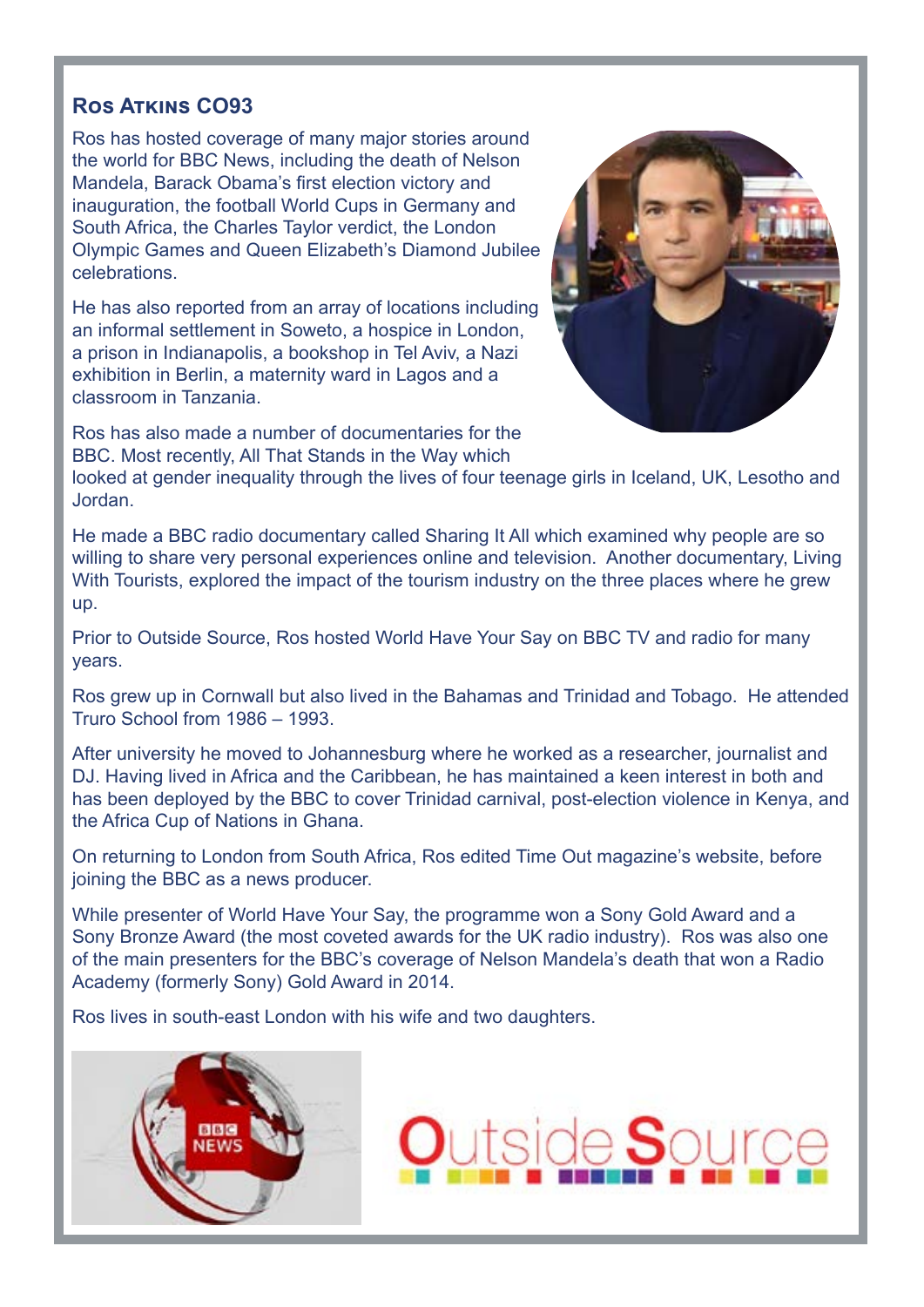# **Ros Atkins CO93**

Ros has hosted coverage of many major stories around the world for BBC News, including the death of Nelson Mandela, Barack Obama's first election victory and inauguration, the football World Cups in Germany and South Africa, the Charles Taylor verdict, the London Olympic Games and Queen Elizabeth's Diamond Jubilee celebrations.

He has also reported from an array of locations including an informal settlement in Soweto, a hospice in London, a prison in Indianapolis, a bookshop in Tel Aviv, a Nazi exhibition in Berlin, a maternity ward in Lagos and a classroom in Tanzania.



Ros has also made a number of documentaries for the BBC. Most recently, All That Stands in the Way which

looked at gender inequality through the lives of four teenage girls in Iceland, UK, Lesotho and Jordan.

He made a BBC radio documentary called Sharing It All which examined why people are so willing to share very personal experiences online and television. Another documentary, Living With Tourists, explored the impact of the tourism industry on the three places where he grew up.

Prior to Outside Source, Ros hosted World Have Your Say on BBC TV and radio for many years.

Ros grew up in Cornwall but also lived in the Bahamas and Trinidad and Tobago. He attended Truro School from 1986 – 1993.

After university he moved to Johannesburg where he worked as a researcher, journalist and DJ. Having lived in Africa and the Caribbean, he has maintained a keen interest in both and has been deployed by the BBC to cover Trinidad carnival, post-election violence in Kenya, and the Africa Cup of Nations in Ghana.

On returning to London from South Africa, Ros edited Time Out magazine's website, before joining the BBC as a news producer.

While presenter of World Have Your Say, the programme won a Sony Gold Award and a Sony Bronze Award (the most coveted awards for the UK radio industry). Ros was also one of the main presenters for the BBC's coverage of Nelson Mandela's death that won a Radio Academy (formerly Sony) Gold Award in 2014.

Ros lives in south-east London with his wife and two daughters.



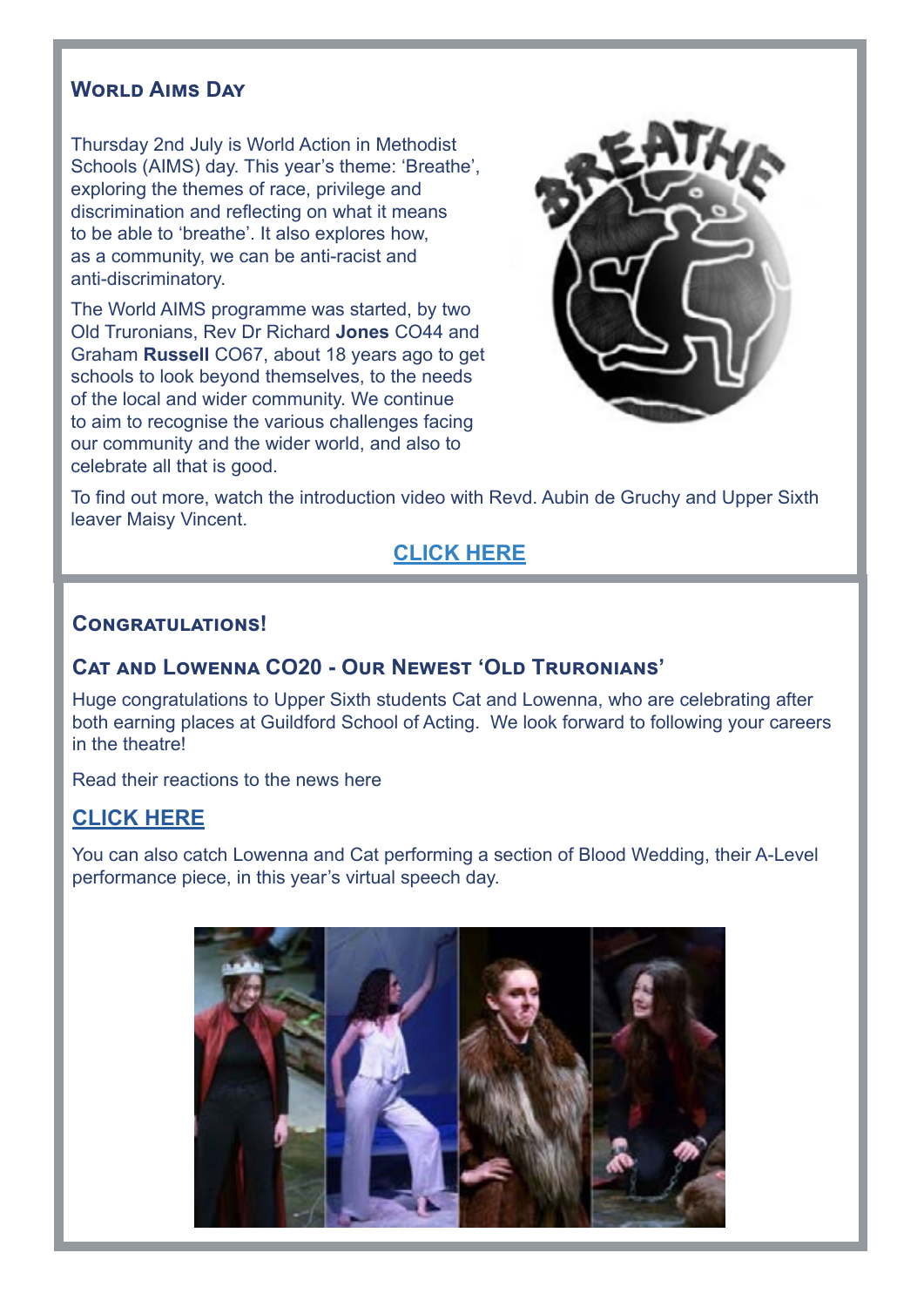# **World Aims Day**

Thursday 2nd July is World Action in Methodist Schools (AIMS) day. This year's theme: 'Breathe', exploring the themes of race, privilege and discrimination and reflecting on what it means to be able to 'breathe'. It also explores how, as a community, we can be anti-racist and anti-discriminatory.

The World AIMS programme was started, by two Old Truronians, Rev Dr Richard **Jones** CO44 and Graham **Russell** CO67, about 18 years ago to get schools to look beyond themselves, to the needs of the local and wider community. We continue to aim to recognise the various challenges facing our community and the wider world, and also to celebrate all that is good.



To find out more, watch the introduction video with Revd. Aubin de Gruchy and Upper Sixth leaver Maisy Vincent.

# **[CLICK HERE](https://www.youtube.com/watch?v=wFhnFPjOa0o&feature=youtu.be&fbclid=IwAR1X5T7SSNCCJ4dij0yumfXGgCG31ElnqdfwB5SEBrvweB9qF4RwJT3KAKM)**

#### **Congratulations!**

#### **Cat and Lowenna CO20 - Our Newest 'Old Truronians'**

[Huge congratulations to Upper Sixth students Cat and Lowenna, who are celebrating after](http://A huge congratulations to Upper Sixth students Cat and Lowenna, who are celebrating after both succe)  [both earning places at Guildford School of Acting. We look forward to following your careers](http://A huge congratulations to Upper Sixth students Cat and Lowenna, who are celebrating after both succe)  [in the theatre!](http://A huge congratulations to Upper Sixth students Cat and Lowenna, who are celebrating after both succe)

[Read their reactions to the news here](http://A huge congratulations to Upper Sixth students Cat and Lowenna, who are celebrating after both succe)

#### **[CLICK HERE](https://www.truroschool.com/latest-news/taking-to-the-stage/?fbclid=IwAR1gKcid-AwX5qB8T1D0XqYOjdjRy1KcCgd-yMWs8RLkpH0qEhSYXR3dOKg)**

[You can also catch Lowenna and Cat performing a section of Blood Wedding, their A-Level](http://You can also catch Lowenna and Cat performing a section of Blood Wedding, their A-Level performance )  [performance piece, in this year's virtual speech day.](http://You can also catch Lowenna and Cat performing a section of Blood Wedding, their A-Level performance )

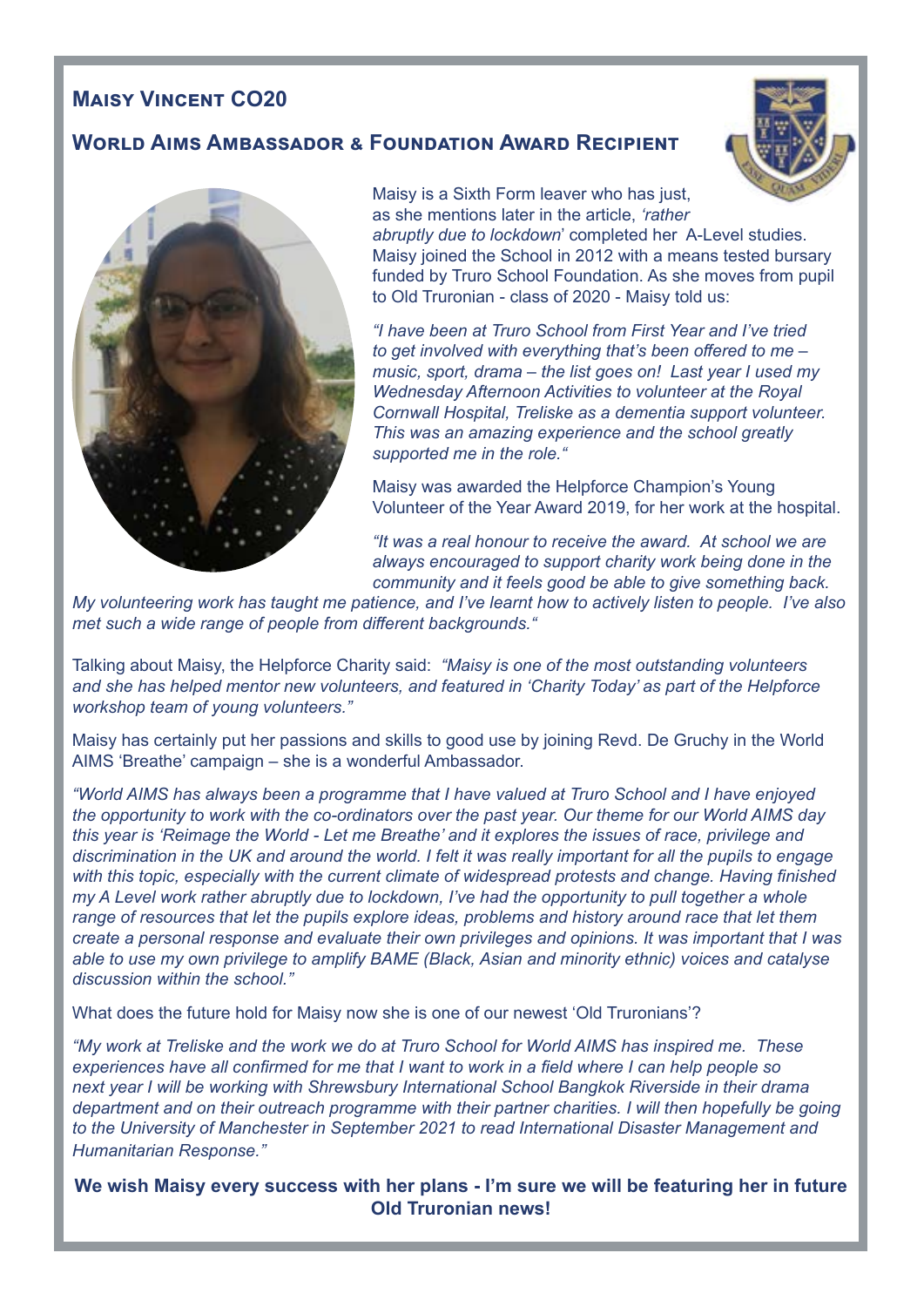# **[Maisy Vincent CO20](http://Maisy Vincent CO20 - World Aims Ambassador Maisy is a Sixth Form student studying A-Levels in Chemis)**

#### **[World Aims Ambassador & Foundation Award Recipient](http://Maisy Vincent CO20 - World Aims Ambassador Maisy is a Sixth Form student studying A-Levels in Chemis)**





[Maisy is a Sixth Form leaver who has just,](http://Maisy Vincent CO20 - World Aims Ambassador Maisy is a Sixth Form student studying A-Levels in Chemis)  [as she mentions later in the article,](http://Maisy Vincent CO20 - World Aims Ambassador Maisy is a Sixth Form student studying A-Levels in Chemis) *'rather* 

*abruptly due to lockdown*[' completed her A-Level studies.](http://Maisy Vincent CO20 - World Aims Ambassador Maisy is a Sixth Form student studying A-Levels in Chemis)  [Maisy joined the School in 2012 with a means tested bursary](http://Maisy Vincent CO20 - World Aims Ambassador Maisy is a Sixth Form student studying A-Levels in Chemis)  [funded by Truro School Foundation. As she moves from pupil](http://Maisy Vincent CO20 - World Aims Ambassador Maisy is a Sixth Form student studying A-Levels in Chemis)  [to Old Truronian - class of 2020 - Maisy told us:](http://Maisy Vincent CO20 - World Aims Ambassador Maisy is a Sixth Form student studying A-Levels in Chemis)

*["I have been at Truro School from First Year and I've tried](http://Maisy Vincent CO20 - World Aims Ambassador Maisy is a Sixth Form student studying A-Levels in Chemis)  [to get involved with everything that's been offered to me –](http://Maisy Vincent CO20 - World Aims Ambassador Maisy is a Sixth Form student studying A-Levels in Chemis)  [music, sport, drama – the list goes on! Last year I used my](http://Maisy Vincent CO20 - World Aims Ambassador Maisy is a Sixth Form student studying A-Levels in Chemis)  [Wednesday Afternoon Activities to volunteer at the Royal](http://Maisy Vincent CO20 - World Aims Ambassador Maisy is a Sixth Form student studying A-Levels in Chemis)  [Cornwall Hospital, Treliske as a dementia support volunteer.](http://Maisy Vincent CO20 - World Aims Ambassador Maisy is a Sixth Form student studying A-Levels in Chemis)  [This was an amazing experience and the school greatly](http://Maisy Vincent CO20 - World Aims Ambassador Maisy is a Sixth Form student studying A-Levels in Chemis)  [supported me in the role."](http://Maisy Vincent CO20 - World Aims Ambassador Maisy is a Sixth Form student studying A-Levels in Chemis)*

[Maisy was awarded the Helpforce Champion's Young](http://Maisy Vincent CO20 - World Aims Ambassador Maisy is a Sixth Form student studying A-Levels in Chemis)  [Volunteer of the Year Award 2019, for her work at the hospital.](http://Maisy Vincent CO20 - World Aims Ambassador Maisy is a Sixth Form student studying A-Levels in Chemis)

*["It was a real honour to receive the award. At school we are](http://Maisy Vincent CO20 - World Aims Ambassador Maisy is a Sixth Form student studying A-Levels in Chemis)  [always encouraged to support charity work being done in the](http://Maisy Vincent CO20 - World Aims Ambassador Maisy is a Sixth Form student studying A-Levels in Chemis)  [community and it feels good be able to give something back.](http://Maisy Vincent CO20 - World Aims Ambassador Maisy is a Sixth Form student studying A-Levels in Chemis)*

*[My volunteering work has taught me patience, and I've learnt how to actively listen to people. I've also](http://Maisy Vincent CO20 - World Aims Ambassador Maisy is a Sixth Form student studying A-Levels in Chemis)  [met such a wide range of people from different backgrounds."](http://Maisy Vincent CO20 - World Aims Ambassador Maisy is a Sixth Form student studying A-Levels in Chemis)*

Talking about Maisy, the Helpforce Charity said: *["Maisy is one of the most outstanding volunteers](http://Maisy Vincent CO20 - World Aims Ambassador Maisy is a Sixth Form student studying A-Levels in Chemis)  [and she has helped mentor new volunteers, and featured in 'Charity Today' as part of the Helpforce](http://Maisy Vincent CO20 - World Aims Ambassador Maisy is a Sixth Form student studying A-Levels in Chemis)  [workshop team of young volunteers."](http://Maisy Vincent CO20 - World Aims Ambassador Maisy is a Sixth Form student studying A-Levels in Chemis)*

[Maisy has certainly put her passions and skills to good use by joining Revd. De Gruchy in the World](http://Maisy Vincent CO20 - World Aims Ambassador Maisy is a Sixth Form student studying A-Levels in Chemis)  [AIMS 'Breathe' campaign – she is a wonderful Ambassador.](http://Maisy Vincent CO20 - World Aims Ambassador Maisy is a Sixth Form student studying A-Levels in Chemis)

*"World AIMS has always been a programme that I have valued at Truro School and I have enjoyed the opportunity to work with the co-ordinators over the past year. Our theme for our World AIMS day this year is 'Reimage the World - Let me Breathe' and it explores the issues of race, privilege and discrimination in the UK and around the world. I felt it was really important for all the pupils to engage*  with this topic, especially with the current climate of widespread protests and change. Having finished *my A Level work rather abruptly due to lockdown, I've had the opportunity to pull together a whole range of resources that let the pupils explore ideas, problems and history around race that let them create a personal response and evaluate their own privileges and opinions. It was important that I was able to use my own privilege to amplify BAME (Black, Asian and minority ethnic) voices and catalyse discussion within the school."*

What does the future hold for Maisy now she is one of our newest 'Old Truronians'?

*"My work at Treliske and the work we do at Truro School for World AIMS has inspired me. These experiences have all confirmed for me that I want to work in a field where I can help people so next year I will be working with Shrewsbury International School Bangkok Riverside in their drama department and on their outreach programme with their partner charities. I will then hopefully be going to the University of Manchester in September 2021 to read International Disaster Management and Humanitarian Response."*

**We wish Maisy every success with her plans - I'm sure we will be featuring her in future Old Truronian news!**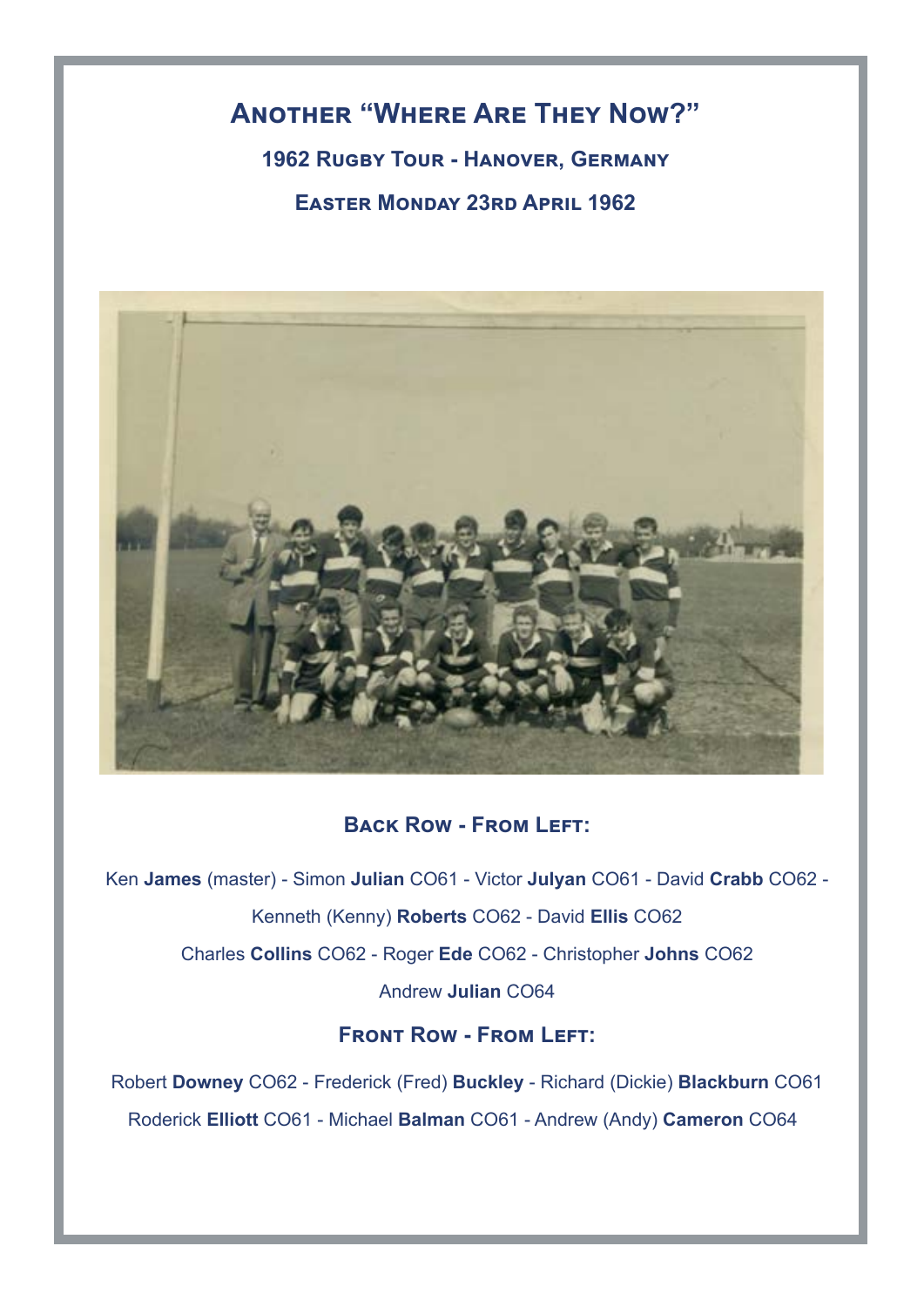# **Another "Where Are They Now?" 1962 Rugby Tour - Hanover, Germany**

**Easter Monday 23rd April 1962**



# **Back Row - From Left:**

Ken **James** (master) - Simon **Julian** CO61 - Victor **Julyan** CO61 - David **Crabb** CO62 - Kenneth (Kenny) **Roberts** CO62 - David **Ellis** CO62 Charles **Collins** CO62 - Roger **Ede** CO62 - Christopher **Johns** CO62 Andrew **Julian** CO64

# **FRONT ROW - FROM LEFT:**

Robert **Downey** CO62 - Frederick (Fred) **Buckley** - Richard (Dickie) **Blackburn** CO61 Roderick **Elliott** CO61 - Michael **Balman** CO61 - Andrew (Andy) **Cameron** CO64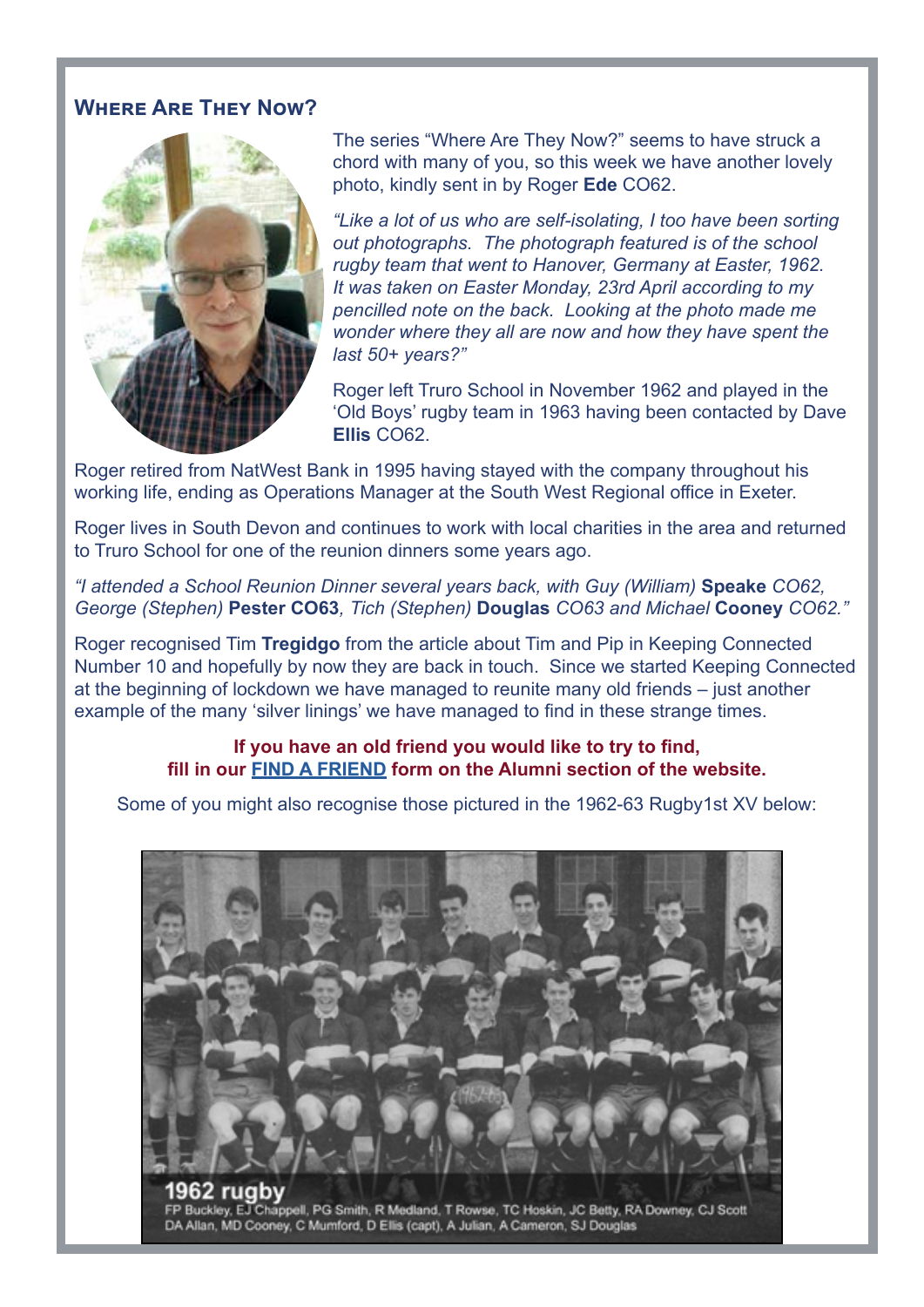### **Where Are They Now?**



The series "Where Are They Now?" seems to have struck a chord with many of you, so this week we have another lovely photo, kindly sent in by Roger **Ede** CO62.

*"Like a lot of us who are self-isolating, I too have been sorting out photographs. The photograph featured is of the school rugby team that went to Hanover, Germany at Easter, 1962. It was taken on Easter Monday, 23rd April according to my pencilled note on the back. Looking at the photo made me wonder where they all are now and how they have spent the last 50+ years?"*

Roger left Truro School in November 1962 and played in the 'Old Boys' rugby team in 1963 having been contacted by Dave **Ellis** CO62.

Roger retired from NatWest Bank in 1995 having stayed with the company throughout his working life, ending as Operations Manager at the South West Regional office in Exeter.

Roger lives in South Devon and continues to work with local charities in the area and returned to Truro School for one of the reunion dinners some years ago.

*"I attended a School Reunion Dinner several years back, with Guy (William)* **Speake** *CO62, George (Stephen)* **Pester CO63***, Tich (Stephen)* **Douglas** *CO63 and Michael* **Cooney** *CO62."*

Roger recognised Tim **Tregidgo** from the article about Tim and Pip in Keeping Connected Number 10 and hopefully by now they are back in touch. Since we started Keeping Connected at the beginning of lockdown we have managed to reunite many old friends – just another example of the many 'silver linings' we have managed to find in these strange times.

#### **If you have an old friend you would like to try to find, fill in our [FIND A FRIEND](https://www.truroschool.com/alumni/alumni-find-a-friend/) form on the Alumni section of the website.**

Some of you might also recognise those pictured in the 1962-63 Rugby1st XV below:



FP Buckley, EJ Chappell, PG Smith, R Medland, T Rowse, TC Hoskin, JC Betty, RA Downey, CJ Scott DA Allan, MD Cooney, C Mumford, D Ellis (capt), A Julian, A Cameron, SJ Douglas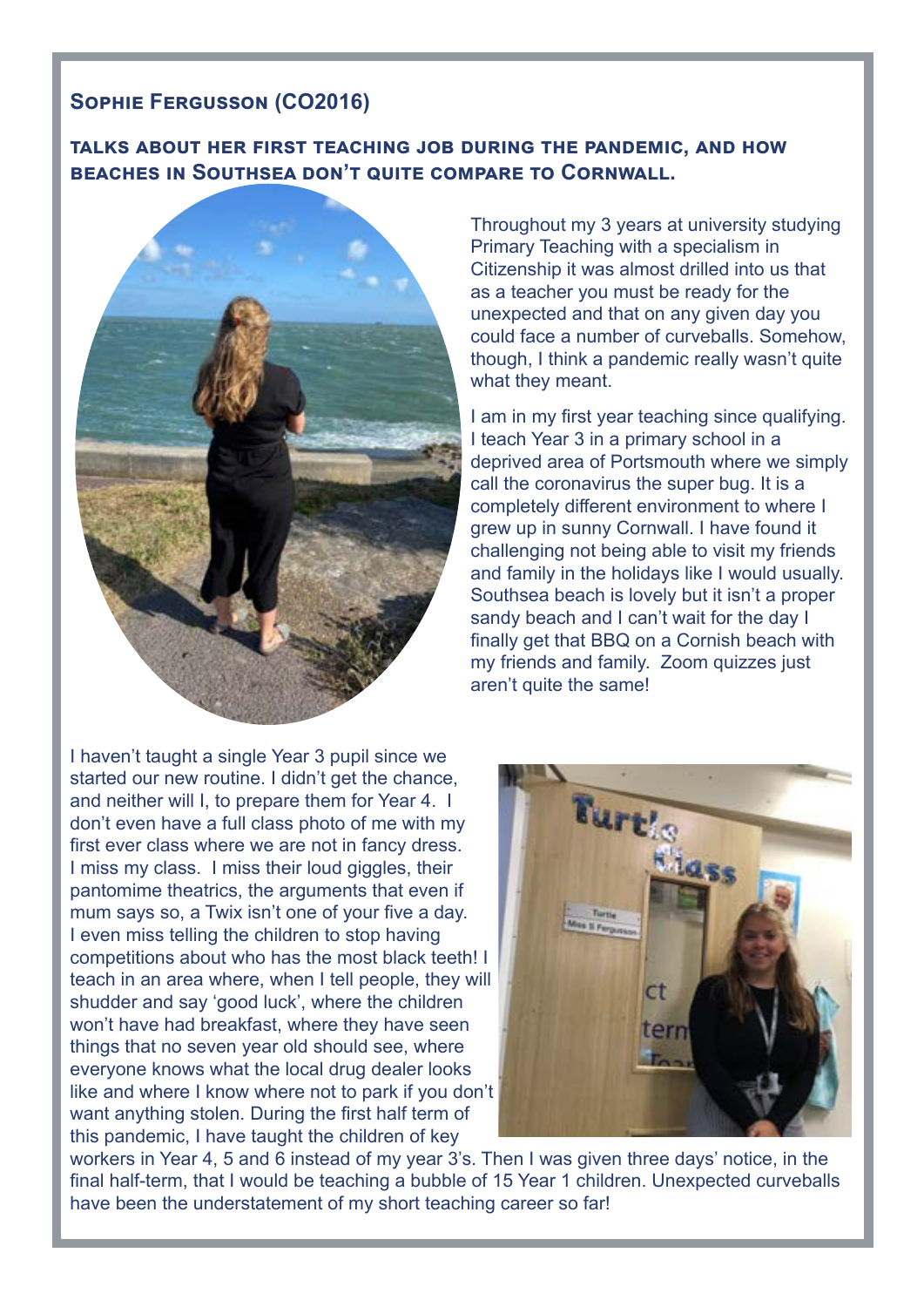## **Sophie Fergusson (CO2016)**

**talks about her first teaching job during the pandemic, and how beaches in Southsea don't quite compare to Cornwall.**



I haven't taught a single Year 3 pupil since we started our new routine. I didn't get the chance, and neither will I, to prepare them for Year 4. I don't even have a full class photo of me with my first ever class where we are not in fancy dress. I miss my class. I miss their loud giggles, their pantomime theatrics, the arguments that even if mum says so, a Twix isn't one of your five a day. I even miss telling the children to stop having competitions about who has the most black teeth! I teach in an area where, when I tell people, they will shudder and say 'good luck', where the children won't have had breakfast, where they have seen things that no seven year old should see, where everyone knows what the local drug dealer looks like and where I know where not to park if you don't want anything stolen. During the first half term of this pandemic, I have taught the children of key

Throughout my 3 years at university studying Primary Teaching with a specialism in Citizenship it was almost drilled into us that as a teacher you must be ready for the unexpected and that on any given day you could face a number of curveballs. Somehow, though, I think a pandemic really wasn't quite what they meant.

I am in my first year teaching since qualifying. I teach Year 3 in a primary school in a deprived area of Portsmouth where we simply call the coronavirus the super bug. It is a completely different environment to where I grew up in sunny Cornwall. I have found it challenging not being able to visit my friends and family in the holidays like I would usually. Southsea beach is lovely but it isn't a proper sandy beach and I can't wait for the day I finally get that BBQ on a Cornish beach with my friends and family. Zoom quizzes just aren't quite the same!



workers in Year 4, 5 and 6 instead of my year 3's. Then I was given three days' notice, in the final half-term, that I would be teaching a bubble of 15 Year 1 children. Unexpected curveballs have been the understatement of my short teaching career so far!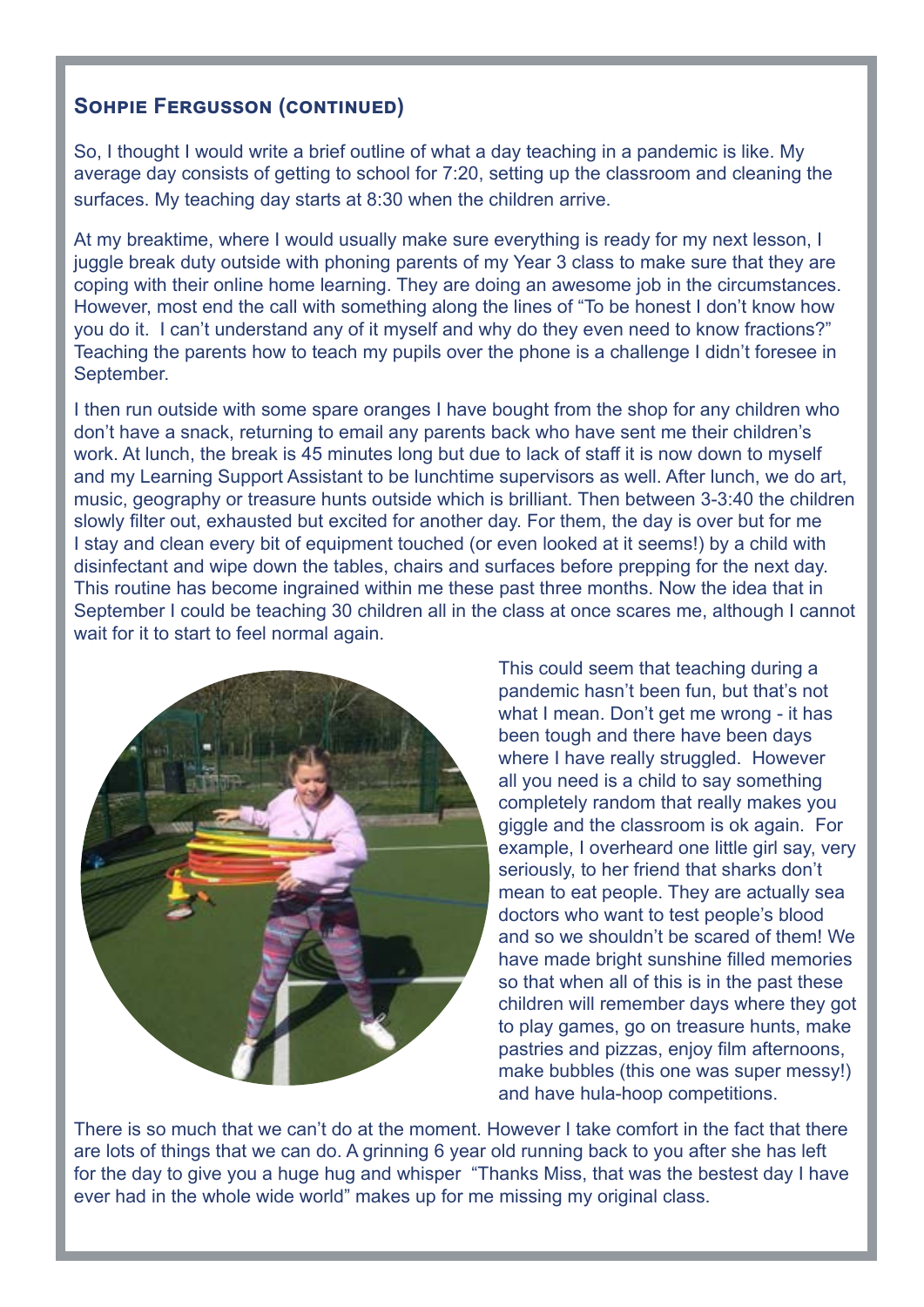## **SOHPIE FERGUSSON (CONTINUED)**

So, I thought I would write a brief outline of what a day teaching in a pandemic is like. My average day consists of getting to school for 7:20, setting up the classroom and cleaning the surfaces. My teaching day starts at 8:30 when the children arrive.

At my breaktime, where I would usually make sure everything is ready for my next lesson, I juggle break duty outside with phoning parents of my Year 3 class to make sure that they are coping with their online home learning. They are doing an awesome job in the circumstances. However, most end the call with something along the lines of "To be honest I don't know how you do it. I can't understand any of it myself and why do they even need to know fractions?" Teaching the parents how to teach my pupils over the phone is a challenge I didn't foresee in September.

I then run outside with some spare oranges I have bought from the shop for any children who don't have a snack, returning to email any parents back who have sent me their children's work. At lunch, the break is 45 minutes long but due to lack of staff it is now down to myself and my Learning Support Assistant to be lunchtime supervisors as well. After lunch, we do art, music, geography or treasure hunts outside which is brilliant. Then between 3-3:40 the children slowly filter out, exhausted but excited for another day. For them, the day is over but for me I stay and clean every bit of equipment touched (or even looked at it seems!) by a child with disinfectant and wipe down the tables, chairs and surfaces before prepping for the next day. This routine has become ingrained within me these past three months. Now the idea that in September I could be teaching 30 children all in the class at once scares me, although I cannot wait for it to start to feel normal again.



This could seem that teaching during a pandemic hasn't been fun, but that's not what I mean. Don't get me wrong - it has been tough and there have been days where I have really struggled. However all you need is a child to say something completely random that really makes you giggle and the classroom is ok again. For example, I overheard one little girl say, very seriously, to her friend that sharks don't mean to eat people. They are actually sea doctors who want to test people's blood and so we shouldn't be scared of them! We have made bright sunshine filled memories so that when all of this is in the past these children will remember days where they got to play games, go on treasure hunts, make pastries and pizzas, enjoy film afternoons, make bubbles (this one was super messy!) and have hula-hoop competitions.

There is so much that we can't do at the moment. However I take comfort in the fact that there are lots of things that we can do. A grinning 6 year old running back to you after she has left for the day to give you a huge hug and whisper "Thanks Miss, that was the bestest day I have ever had in the whole wide world" makes up for me missing my original class.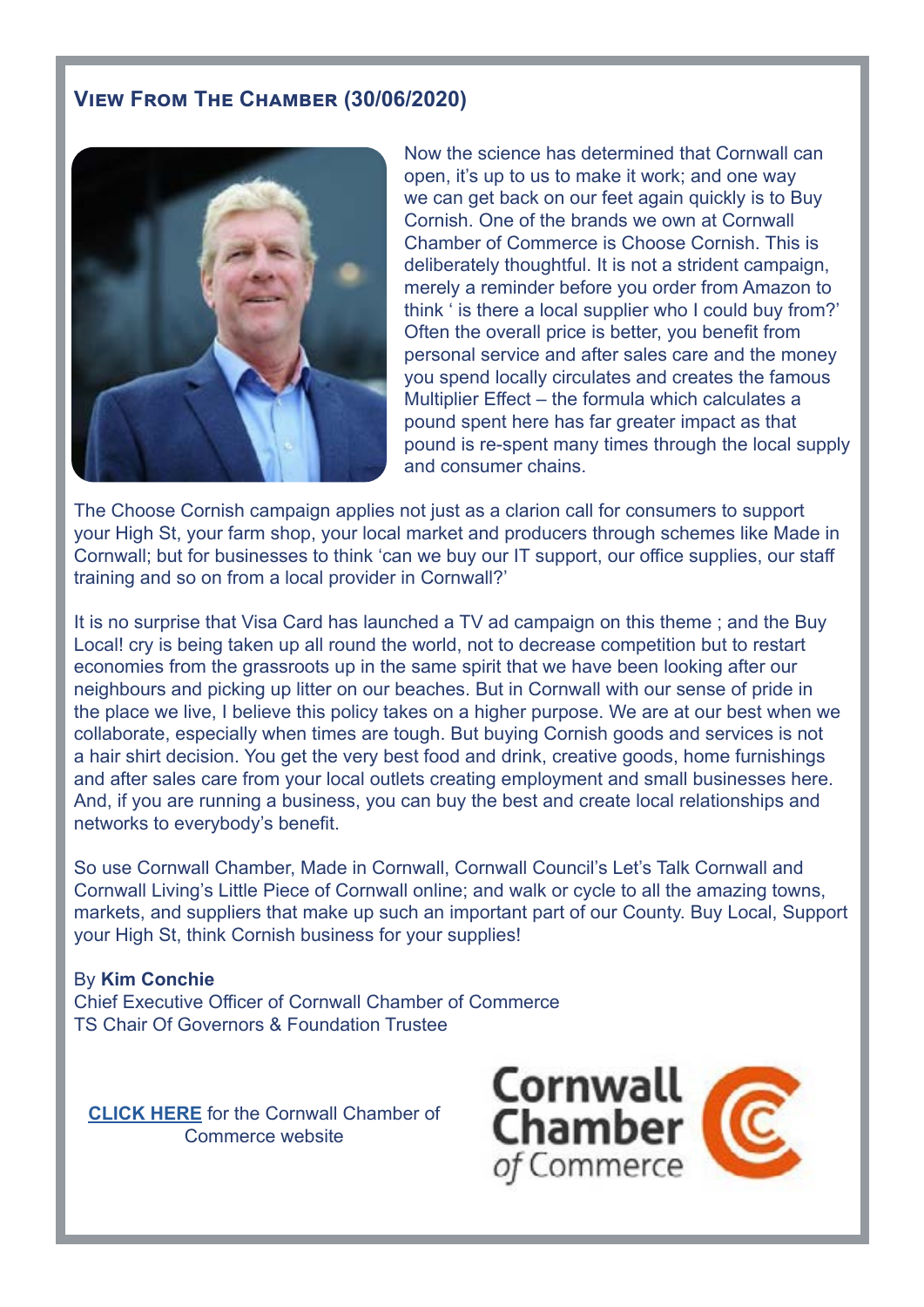# **View From The Chamber (30/06/2020)**



Now the science has determined that Cornwall can open, it's up to us to make it work; and one way we can get back on our feet again quickly is to Buy Cornish. One of the brands we own at Cornwall Chamber of Commerce is Choose Cornish. This is deliberately thoughtful. It is not a strident campaign, merely a reminder before you order from Amazon to think ' is there a local supplier who I could buy from?' Often the overall price is better, you benefit from personal service and after sales care and the money you spend locally circulates and creates the famous Multiplier Effect – the formula which calculates a pound spent here has far greater impact as that pound is re-spent many times through the local supply and consumer chains.

The Choose Cornish campaign applies not just as a clarion call for consumers to support your High St, your farm shop, your local market and producers through schemes like Made in Cornwall; but for businesses to think 'can we buy our IT support, our office supplies, our staff training and so on from a local provider in Cornwall?'

It is no surprise that Visa Card has launched a TV ad campaign on this theme ; and the Buy Local! cry is being taken up all round the world, not to decrease competition but to restart economies from the grassroots up in the same spirit that we have been looking after our neighbours and picking up litter on our beaches. But in Cornwall with our sense of pride in the place we live, I believe this policy takes on a higher purpose. We are at our best when we collaborate, especially when times are tough. But buying Cornish goods and services is not a hair shirt decision. You get the very best food and drink, creative goods, home furnishings and after sales care from your local outlets creating employment and small businesses here. And, if you are running a business, you can buy the best and create local relationships and networks to everybody's benefit.

So use Cornwall Chamber, Made in Cornwall, Cornwall Council's Let's Talk Cornwall and Cornwall Living's Little Piece of Cornwall online; and walk or cycle to all the amazing towns, markets, and suppliers that make up such an important part of our County. Buy Local, Support your High St, think Cornish business for your supplies!

#### By **Kim Conchie**

Chief Executive Officer of Cornwall Chamber of Commerce TS Chair Of Governors & Foundation Trustee

**[CLICK HERE](https://www.cornwallchamber.co.uk/)** for the Cornwall Chamber of Commerce website

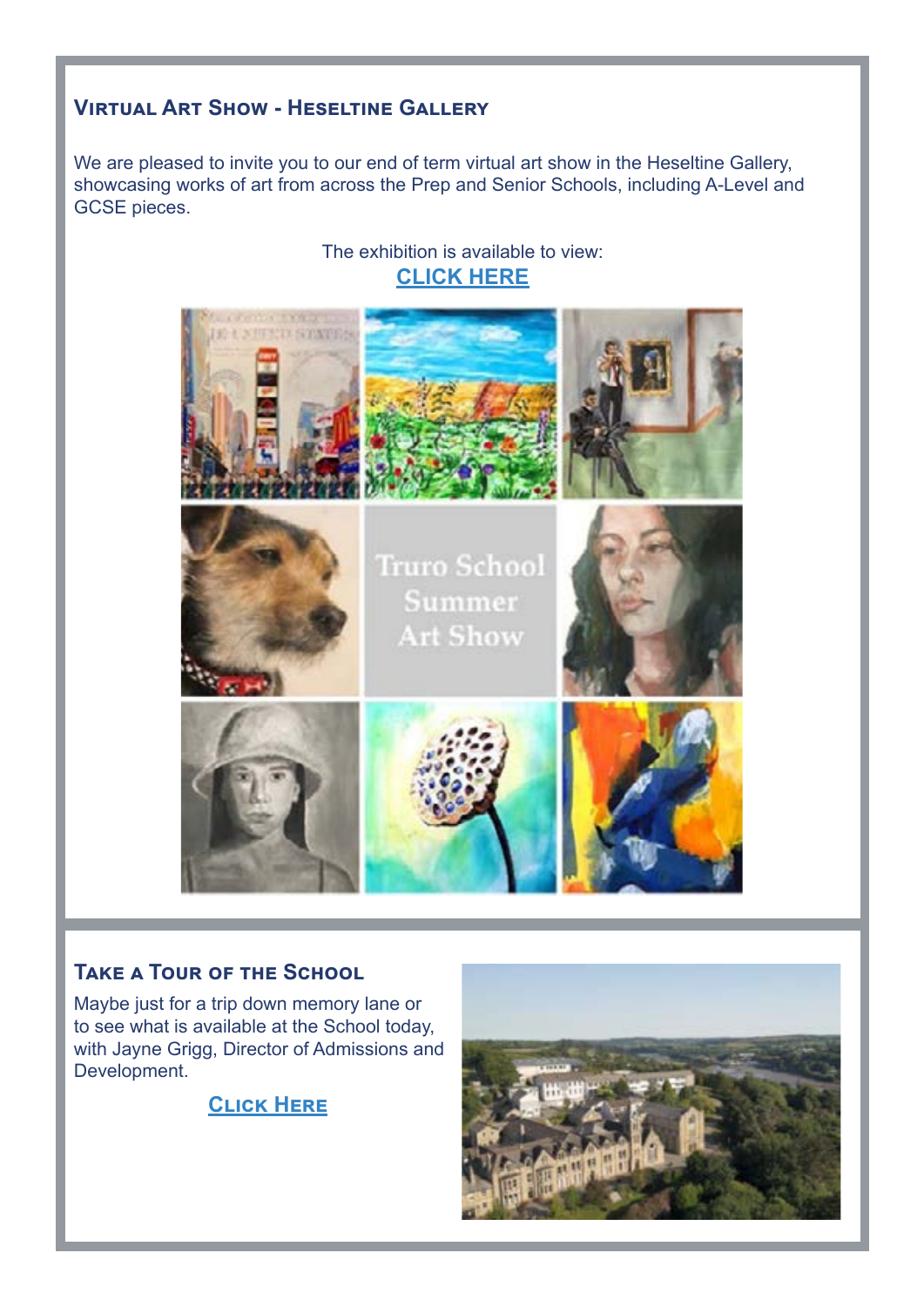# **Virtual Art Show - Heseltine Gallery**

We are pleased to invite you to our end of term virtual art show in the Heseltine Gallery, showcasing works of art from across the Prep and Senior Schools, including A-Level and GCSE pieces.

# The exhibition is available to view: **[CLICK HERE](https://www.heseltinegallery.com/summer-show/)**



**Truro School** Summer **Art Show** 





# **Take a Tour of the School**

Maybe just for a trip down memory lane or to see what is available at the School today, with Jayne Grigg, Director of Admissions and Development.

**[Click Here](https://www.truroschool.com/virtual-tour/)**

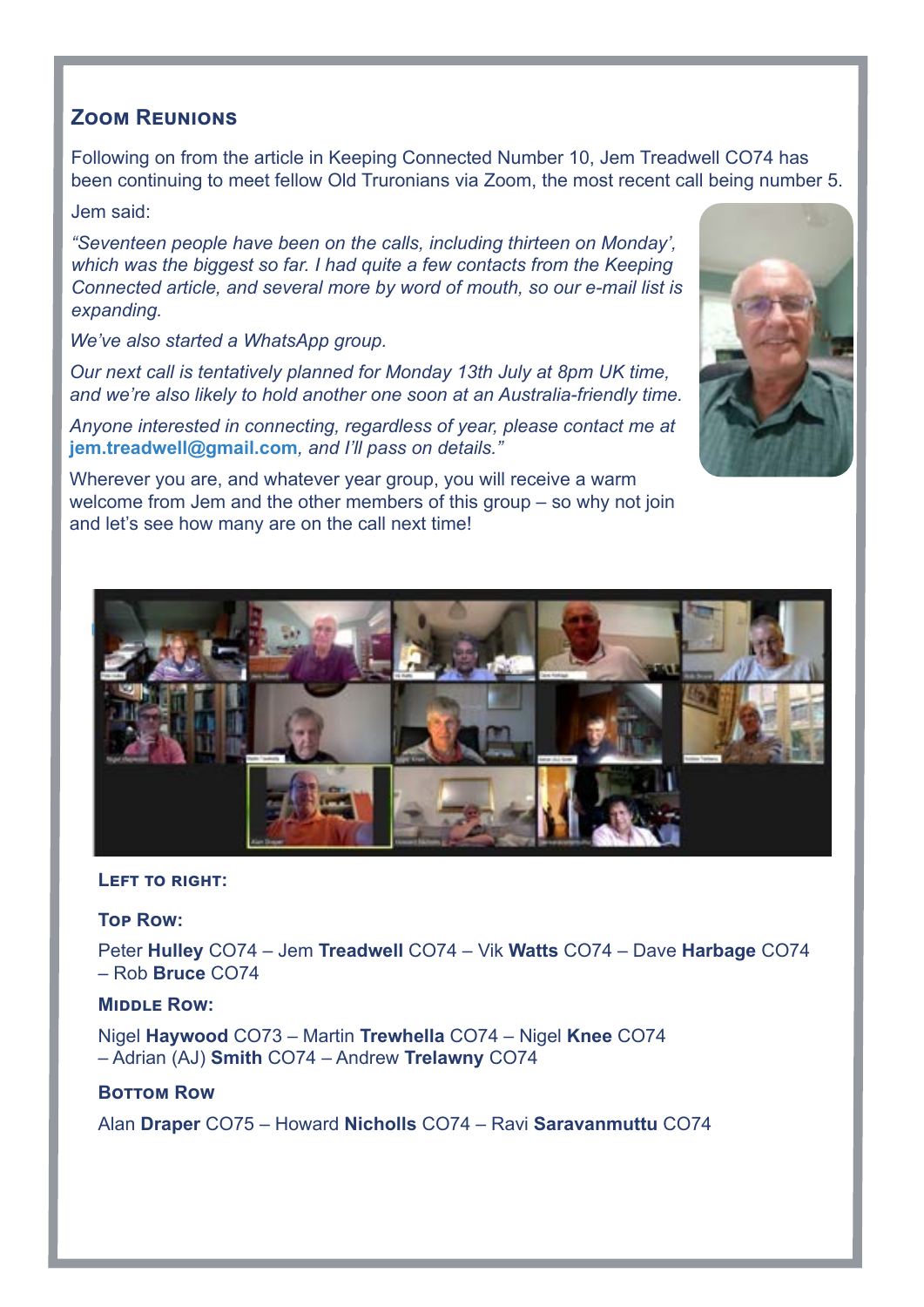### **Zoom Reunions**

Following on from the article in Keeping Connected Number 10, Jem Treadwell CO74 has been continuing to meet fellow Old Truronians via Zoom, the most recent call being number 5.

Jem said:

*"Seventeen people have been on the calls, including thirteen on Monday', which was the biggest so far. I had quite a few contacts from the Keeping Connected article, and several more by word of mouth, so our e-mail list is expanding.* 

*We've also started a WhatsApp group.*

*Our next call is tentatively planned for Monday 13th July at 8pm UK time, and we're also likely to hold another one soon at an Australia-friendly time.*

*Anyone interested in connecting, regardless of year, please contact me at*  **jem.treadwell@gmail.com***, and I'll pass on details."*

Wherever you are, and whatever year group, you will receive a warm welcome from Jem and the other members of this group – so why not join and let's see how many are on the call next time!





#### **Left to right:**

#### **Top Row:**

Peter **Hulley** CO74 – Jem **Treadwell** CO74 – Vik **Watts** CO74 – Dave **Harbage** CO74 – Rob **Bruce** CO74

#### **MIDDLE ROW:**

Nigel **Haywood** CO73 – Martin **Trewhella** CO74 – Nigel **Knee** CO74 – Adrian (AJ) **Smith** CO74 – Andrew **Trelawny** CO74

#### **Bottom Row**

Alan **Draper** CO75 – Howard **Nicholls** CO74 – Ravi **Saravanmuttu** CO74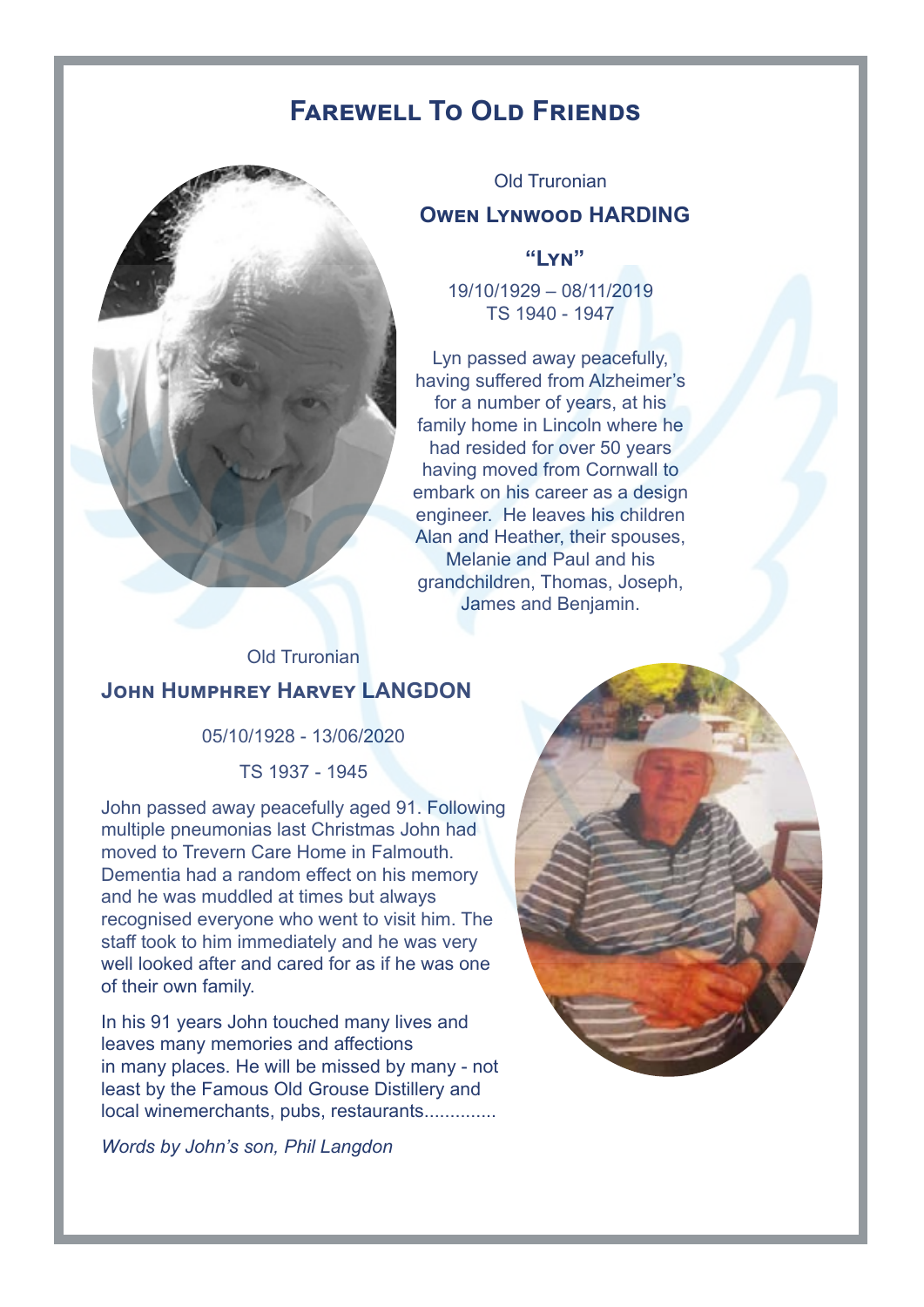# **Farewell To Old Friends**



Old Truronian **Owen Lynwood HARDING**

**"Lyn"**

19/10/1929 – 08/11/2019 TS 1940 - 1947

Lyn passed away peacefully, having suffered from Alzheimer's for a number of years, at his family home in Lincoln where he had resided for over 50 years having moved from Cornwall to embark on his career as a design engineer. He leaves his children Alan and Heather, their spouses, Melanie and Paul and his grandchildren, Thomas, Joseph, James and Benjamin.

# Old Truronian **John Humphrey Harvey LANGDON**

05/10/1928 - 13/06/2020

TS 1937 - 1945

John passed away peacefully aged 91. Following multiple pneumonias last Christmas John had moved to Trevern Care Home in Falmouth. Dementia had a random effect on his memory and he was muddled at times but always recognised everyone who went to visit him. The staff took to him immediately and he was very well looked after and cared for as if he was one of their own family.

In his 91 years John touched many lives and leaves many memories and affections in many places. He will be missed by many - not least by the Famous Old Grouse Distillery and local winemerchants, pubs, restaurants..............

*Words by John's son, Phil Langdon*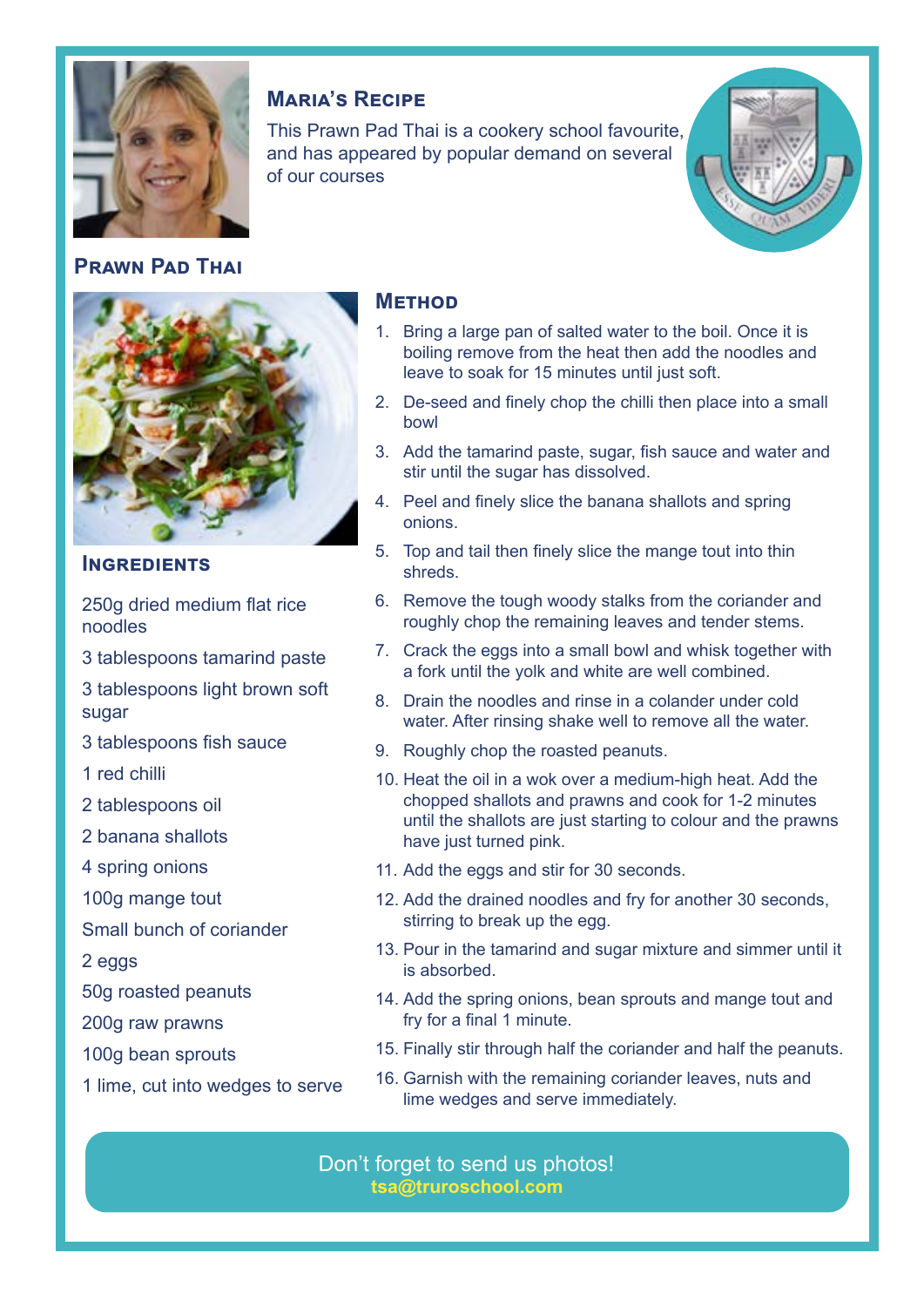

# **Maria's Recipe**

This Prawn Pad Thai is a cookery school favourite, and has appeared by popular demand on several of our courses



# **Prawn Pad Thai**



#### **Ingredients**

250g dried medium flat rice noodles

3 tablespoons tamarind paste

3 tablespoons light brown soft sugar

- 3 tablespoons fish sauce
- 1 red chilli
- 2 tablespoons oil

2 banana shallots

4 spring onions

100g mange tout

Small bunch of coriander

2 eggs

50g roasted peanuts

200g raw prawns

100g bean sprouts

1 lime, cut into wedges to serve

#### **Method**

- 1. Bring a large pan of salted water to the boil. Once it is boiling remove from the heat then add the noodles and leave to soak for 15 minutes until just soft.
- 2. De-seed and finely chop the chilli then place into a small bowl
- 3. Add the tamarind paste, sugar, fish sauce and water and stir until the sugar has dissolved.
- 4. Peel and finely slice the banana shallots and spring onions.
- 5. Top and tail then finely slice the mange tout into thin shreds.
- 6. Remove the tough woody stalks from the coriander and roughly chop the remaining leaves and tender stems.
- 7. Crack the eggs into a small bowl and whisk together with a fork until the yolk and white are well combined.
- 8. Drain the noodles and rinse in a colander under cold water. After rinsing shake well to remove all the water.
- 9. Roughly chop the roasted peanuts.
- 10. Heat the oil in a wok over a medium-high heat. Add the chopped shallots and prawns and cook for 1-2 minutes until the shallots are just starting to colour and the prawns have just turned pink.
- 11. Add the eggs and stir for 30 seconds.
- 12. Add the drained noodles and fry for another 30 seconds, stirring to break up the egg.
- 13. Pour in the tamarind and sugar mixture and simmer until it is absorbed.
- 14. Add the spring onions, bean sprouts and mange tout and fry for a final 1 minute.
- 15. Finally stir through half the coriander and half the peanuts.
- 16. Garnish with the remaining coriander leaves, nuts and lime wedges and serve immediately.

Don't forget to send us photos! **tsa@truroschool.com**